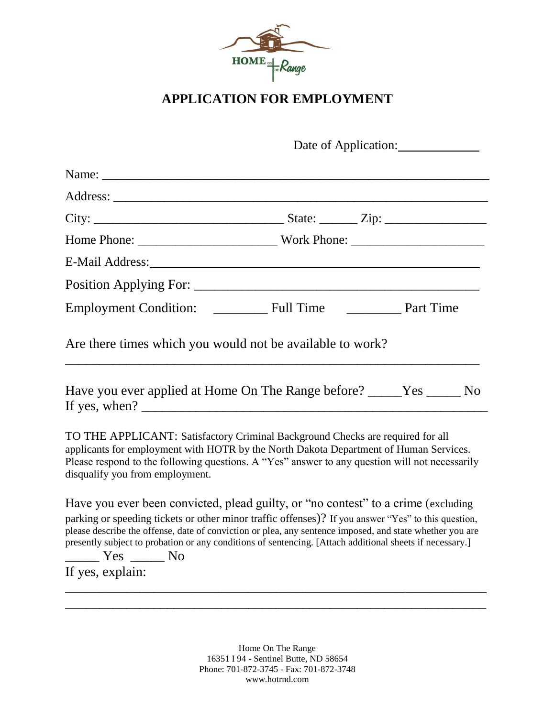

## **APPLICATION FOR EMPLOYMENT**

|                                                                                                                                                                                                                                                                                                                                                                                                                                         | Date of Application: |  |  |
|-----------------------------------------------------------------------------------------------------------------------------------------------------------------------------------------------------------------------------------------------------------------------------------------------------------------------------------------------------------------------------------------------------------------------------------------|----------------------|--|--|
|                                                                                                                                                                                                                                                                                                                                                                                                                                         |                      |  |  |
|                                                                                                                                                                                                                                                                                                                                                                                                                                         |                      |  |  |
|                                                                                                                                                                                                                                                                                                                                                                                                                                         |                      |  |  |
|                                                                                                                                                                                                                                                                                                                                                                                                                                         |                      |  |  |
|                                                                                                                                                                                                                                                                                                                                                                                                                                         |                      |  |  |
|                                                                                                                                                                                                                                                                                                                                                                                                                                         |                      |  |  |
|                                                                                                                                                                                                                                                                                                                                                                                                                                         |                      |  |  |
| Are there times which you would not be available to work?<br>Have you ever applied at Home On The Range before? _____Yes _______ No                                                                                                                                                                                                                                                                                                     |                      |  |  |
|                                                                                                                                                                                                                                                                                                                                                                                                                                         |                      |  |  |
| TO THE APPLICANT: Satisfactory Criminal Background Checks are required for all<br>applicants for employment with HOTR by the North Dakota Department of Human Services.<br>Please respond to the following questions. A "Yes" answer to any question will not necessarily<br>disqualify you from employment.                                                                                                                            |                      |  |  |
| Have you ever been convicted, plead guilty, or "no contest" to a crime (excluding<br>parking or speeding tickets or other minor traffic offenses)? If you answer "Yes" to this question,<br>please describe the offense, date of conviction or plea, any sentence imposed, and state whether you are<br>presently subject to probation or any conditions of sentencing. [Attach additional sheets if necessary.]<br>_____ Yes ______ No |                      |  |  |
| If yes, explain:                                                                                                                                                                                                                                                                                                                                                                                                                        |                      |  |  |
|                                                                                                                                                                                                                                                                                                                                                                                                                                         |                      |  |  |

Home On The Range 16351 I 94 - Sentinel Butte, ND 58654 Phone: 701-872-3745 - Fax: 701-872-3748 www.hotrnd.com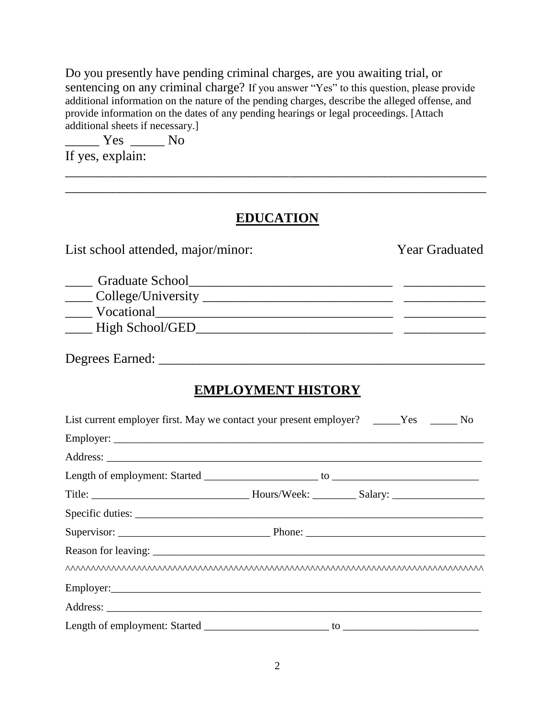Do you presently have pending criminal charges, are you awaiting trial, or sentencing on any criminal charge? If you answer "Yes" to this question, please provide additional information on the nature of the pending charges, describe the alleged offense, and provide information on the dates of any pending hearings or legal proceedings. [Attach additional sheets if necessary.]

\_\_\_\_\_ Yes \_\_\_\_\_ No If yes, explain:

## **EDUCATION**

\_\_\_\_\_\_\_\_\_\_\_\_\_\_\_\_\_\_\_\_\_\_\_\_\_\_\_\_\_\_\_\_\_\_\_\_\_\_\_\_\_\_\_\_\_\_\_\_\_\_\_\_\_\_\_\_\_\_\_\_\_\_ \_\_\_\_\_\_\_\_\_\_\_\_\_\_\_\_\_\_\_\_\_\_\_\_\_\_\_\_\_\_\_\_\_\_\_\_\_\_\_\_\_\_\_\_\_\_\_\_\_\_\_\_\_\_\_\_\_\_\_\_\_\_

| List school attended, major/minor:                                                                                                                                                                                             | <b>Year Graduated</b> |
|--------------------------------------------------------------------------------------------------------------------------------------------------------------------------------------------------------------------------------|-----------------------|
| Vocational Vocational Vocational Vocational Vocational Vocational Vocational Vocational Vocational Vocational Vocational Vocational Vocational Vocational Vocational Vocational Vocational Vocational Vocational Vocational Vo |                       |
|                                                                                                                                                                                                                                |                       |
| <b>EMPLOYMENT HISTORY</b>                                                                                                                                                                                                      |                       |
| List current employer first. May we contact your present employer? _____Yes ______No                                                                                                                                           |                       |
|                                                                                                                                                                                                                                |                       |
|                                                                                                                                                                                                                                |                       |
|                                                                                                                                                                                                                                |                       |
|                                                                                                                                                                                                                                |                       |
|                                                                                                                                                                                                                                |                       |
|                                                                                                                                                                                                                                |                       |
|                                                                                                                                                                                                                                |                       |
|                                                                                                                                                                                                                                |                       |
|                                                                                                                                                                                                                                |                       |
|                                                                                                                                                                                                                                |                       |
|                                                                                                                                                                                                                                |                       |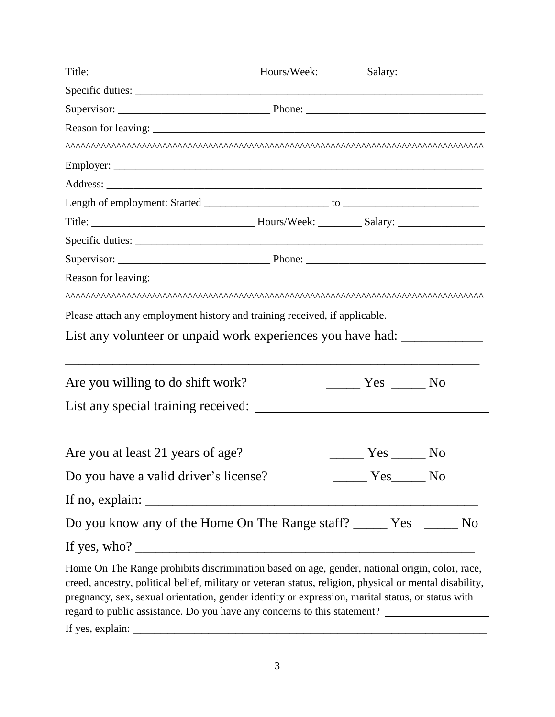| Title: __________________________________Hours/Week: ____________Salary: ___________________________                                                                                                                                                                                                                                                                                                                  |                                    |  |
|-----------------------------------------------------------------------------------------------------------------------------------------------------------------------------------------------------------------------------------------------------------------------------------------------------------------------------------------------------------------------------------------------------------------------|------------------------------------|--|
|                                                                                                                                                                                                                                                                                                                                                                                                                       |                                    |  |
|                                                                                                                                                                                                                                                                                                                                                                                                                       |                                    |  |
|                                                                                                                                                                                                                                                                                                                                                                                                                       |                                    |  |
|                                                                                                                                                                                                                                                                                                                                                                                                                       |                                    |  |
|                                                                                                                                                                                                                                                                                                                                                                                                                       |                                    |  |
|                                                                                                                                                                                                                                                                                                                                                                                                                       |                                    |  |
|                                                                                                                                                                                                                                                                                                                                                                                                                       |                                    |  |
|                                                                                                                                                                                                                                                                                                                                                                                                                       |                                    |  |
|                                                                                                                                                                                                                                                                                                                                                                                                                       |                                    |  |
|                                                                                                                                                                                                                                                                                                                                                                                                                       |                                    |  |
|                                                                                                                                                                                                                                                                                                                                                                                                                       |                                    |  |
|                                                                                                                                                                                                                                                                                                                                                                                                                       |                                    |  |
| Please attach any employment history and training received, if applicable.                                                                                                                                                                                                                                                                                                                                            |                                    |  |
| List any volunteer or unpaid work experiences you have had:                                                                                                                                                                                                                                                                                                                                                           |                                    |  |
| Are you willing to do shift work?                                                                                                                                                                                                                                                                                                                                                                                     | $\frac{1}{1}$ Yes $\frac{1}{1}$ No |  |
|                                                                                                                                                                                                                                                                                                                                                                                                                       |                                    |  |
| Are you at least 21 years of age?                                                                                                                                                                                                                                                                                                                                                                                     | <u>______</u> Yes ______ No        |  |
|                                                                                                                                                                                                                                                                                                                                                                                                                       |                                    |  |
|                                                                                                                                                                                                                                                                                                                                                                                                                       |                                    |  |
| Do you know any of the Home On The Range staff? ________ Yes ________ No                                                                                                                                                                                                                                                                                                                                              |                                    |  |
|                                                                                                                                                                                                                                                                                                                                                                                                                       |                                    |  |
| Home On The Range prohibits discrimination based on age, gender, national origin, color, race,<br>creed, ancestry, political belief, military or veteran status, religion, physical or mental disability,<br>pregnancy, sex, sexual orientation, gender identity or expression, marital status, or status with<br>regard to public assistance. Do you have any concerns to this statement? __________________________ |                                    |  |